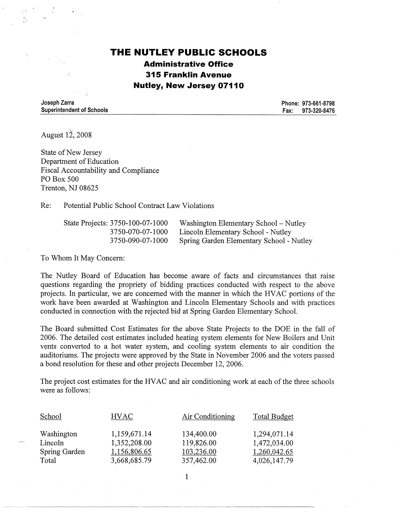# **THE NUTLEY PUBLIC SCHOOLS Administrative Office 315 Franklin Avenue Nutley, New Jersey 07110**

**Joseph Zarra Superintendent of Schools** 

**Phone: 973-661-8798 Fax: 973-320-8476** 

August 12, 2008

State of New Jersey Department of Education Fiscal Accountability and Compliance PO Box 500 Trenton, NJ 08625

Re: Potential Public School Contract Law Violations

State Projects: 3750-100-07-1000 3 7 50-070-07-1000 3 7 50-090-07-1000

Washington Elementary School-Nutley Lincoln Elementary School - Nutley Spring Garden Elementary School - Nutley

To Whom It May Concern:

----"--------·----------------------------------

The Nutley Board of Education has become aware of facts and circumstances that raise questions regarding the propriety of bidding practices conducted with respect to the above projects. In particular, we are concerned with the manner in which the HV AC portions of the work have been awarded at Washington and Lincoln Elementary Schools and with practices conducted in connection with the rejected bid at Spring Garden Elementary School.

The Board submitted Cost Estimates for the above State Projects to the DOE in the fall of 2006. The detailed cost estimates included heating system elements for New Boilers and Unit vents converted to a hot water system, and cooling system elements to air condition the auditoriums. The projects were approved by the State in November 2006 and the voters passed a bond resolution for these and other projects December 12, 2006.

The project cost estimates for the HVAC and air conditioning work at each of the three schools were as follows:

| School        | <b>HVAC</b>  | Air Conditioning | <b>Total Budget</b> |
|---------------|--------------|------------------|---------------------|
| Washington    | 1,159,671.14 | 134,400.00       | 1,294,071.14        |
| Lincoln       | 1,352,208.00 | 119,826.00       | 1,472,034.00        |
| Spring Garden | 1,156,806.65 | 103,236.00       | 1,260,042.65        |
| Total         | 3,668,685.79 | 357,462.00       | 4,026,147.79        |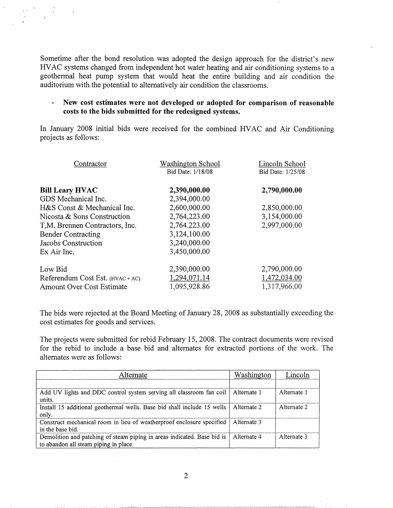Sometime after the bond resolution was adopted the design approach for the district's new HV AC systems changed from independent hot water heating and air conditioning systems to a geothermal heat pump system that would heat the entire building and air condition the auditorium with the potential to alternatively air condition the classrooms.

#### **New cost estimates were not developed or adopted for comparison of reasonable**   $\blacksquare$ **costs to the bids submitted for the redesigned systems.**

In January 2008 initial bids were received for the combined HVAC and Air Conditioning projects as follows:

| Contractor                       | <b>Washington School</b> | Lincoln School    |
|----------------------------------|--------------------------|-------------------|
|                                  | Bid Date: 1/18/08        | Bid Date: 1/25/08 |
|                                  |                          |                   |
| <b>Bill Leary HVAC</b>           | 2,390,000.00             | 2,790,000.00      |
| GDS Mechanical Inc.              | 2,394,000.00             |                   |
| H&S Const & Mechanical Inc.      | 2,600,000.00             | 2,850,000.00      |
| Nicosta & Sons Construction      | 2,764,223.00             | 3,154,000.00      |
| T,M. Brennen Contractors, Inc.   | 2,764.223.00             | 2,997,000.00      |
| <b>Bender Contracting</b>        | 3,124,100.00             |                   |
| Jacobs Construction              | 3,240,000.00             |                   |
| Ex Air Inc.                      | 3,450,000.00             |                   |
| Low Bid                          | 2,390,000.00             | 2,790,000.00      |
| Referendum Cost Est. $(HVAC+AC)$ | 1,294,071.14             | 1,472,034.00      |
| Amount Over Cost Estimate        | 1,095,928.86             | 1,317,966.00      |

The bids were rejected at the Board Meeting of January 28, 2008 as substantially exceeding the cost estimates for goods and services.

The projects were submitted for rebid February 15, 2008. The contract documents were revised for the rebid to include a base bid and alternates for extracted portions of the work. The alternates were as follows:

| .lternate.                                                                                                       | Washington  | Lincoln     |
|------------------------------------------------------------------------------------------------------------------|-------------|-------------|
|                                                                                                                  |             |             |
| Add UV lights and DDC control system serving all classroom fan coil   Alternate 1<br>units.                      |             | Alternate 1 |
| Install 15 additional geothermal wells. Base bid shall include 15 wells   Alternate 2<br>only.                   |             | Alternate 2 |
| Construct mechanical room in lieu of weatherproof enclosure specified<br>in the base bid.                        | Alternate 3 |             |
| Demolition and patching of steam piping in areas indicated. Base bid is<br>to abandon all steam piping in place. | Alternate 4 | Alternate 3 |

2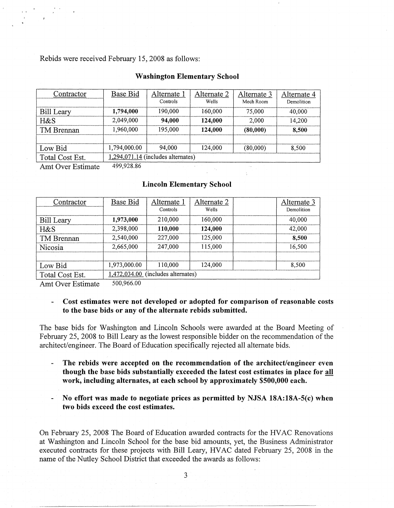Rebids were received February 15, 2008 as follows:

| <b>Washington Elementary School</b> |  |  |
|-------------------------------------|--|--|
|-------------------------------------|--|--|

| Contractor        | Base Bid     | Alternate 1                          | Alternate 2 | Alternate 3 | Alternate 4 |
|-------------------|--------------|--------------------------------------|-------------|-------------|-------------|
|                   |              | Controls                             | Wells       | Mech Room   | Demolition  |
| <b>Bill Leary</b> | 1,794,000    | 190,000                              | 160,000     | 75,000      | 40,000      |
| $H\&S$            | 2,049,000    | 94,000                               | 124,000     | 2,000       | 14.200      |
| TM Brennan        | 1,960,000    | 195,000                              | 124.000     | (80,000)    | 8.500       |
|                   |              |                                      |             |             |             |
| Low Bid           | 1,794,000.00 | 94.000                               | 124,000     | (80,000)    | 8,500       |
| Total Cost Est.   |              | $1,294,071.14$ (includes alternates) |             |             |             |

Amt Over Estimate 499,928.86

### **Lincoln Elementary School**

| Contractor      | Base Bid     | Alternate 1                          | Alternate 2 | Alternate 3 |
|-----------------|--------------|--------------------------------------|-------------|-------------|
|                 |              | Controls                             | Wells       | Demolition  |
| Bill Leary      | 1,973,000    | 210,000                              | 160,000     | 40,000      |
| H&S             | 2,398,000    | 110.000                              | 124,000     | 42,000      |
| TM Brennan      | 2,540,000    | 227,000                              | 125,000     | 8,500       |
| Nicosia         | 2.665,000    | 247,000                              | 115,000     | 16.500      |
|                 |              |                                      |             |             |
| Low Bid         | 1,973,000.00 | 110,000                              | 124,000     | 8.500       |
| Total Cost Est. |              | $1,472,034.00$ (includes alternates) |             |             |

Amt Over Estimate 500,966.00

#### $\Delta$ **Cost estimates were not developed or adopted for comparison of reasonable costs to the base bids or any of the alternate rebids submitted.**

The base bids for Washington and Lincoln Schools were awarded at the Board Meeting of February 25, 2008 to Bill Leary as the lowest responsible bidder on the recommendation of the architect/engineer. The Board of Education specifically rejected all alternate bids.

- $\blacksquare$ **The rebids were accepted on the recommendation of the architect/engineer even though the base bids substantially exceeded the latest cost estimates in place for all work, including alternates, at each school by approximately \$500,000 each.**
- **No effort was made to negotiate prices as permitted by NJSA 18A:18A-S(c) when two bids exceed the cost estimates.**

On February 25, 2008 The Board of Education awarded contracts for the HVAC Renovations at Washington and Lincoln School for the base bid amounts, yet, the Business Administrator executed contracts for these projects with Bill Leary, HV AC dated February 25, 2008 in the name of the Nutley School District that exceeded the awards as follows: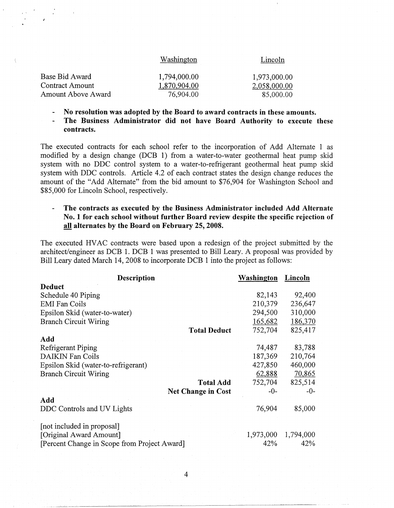| Washington   | Lincoln      |
|--------------|--------------|
| 1,794,000.00 | 1,973,000.00 |
| 1,870,904.00 | 2,058,000.00 |
| 76,904.00    | 85,000.00    |
|              |              |

- **No resolution was adopted by the Board to award contracts in these amounts.**
- **The Business Administrator did not have Board Authority to execute these**   $\ddot{\phantom{a}}$ **contracts.**

The executed contracts for each school refer to the incorporation of Add Alternate 1 as modified by a design change (DCB 1) from a water-to-water geothermal heat pump skid system with no DDC control system to a water-to-refrigerant geothermal heat pump skid system with DDC controls. Article 4.2 of each contract states the design change reduces the amount of the "Add Alternate" from the bid amount to \$76,904 for Washington School and \$85,000 for Lincoln School, respectively.

### **The contracts as executed by the Business Administrator included Add Alternate**   $\Box$ **No. 1 for each school without further Board review despite the specific rejection of all alternates by the Board on February 25, 2008.**

The executed HVAC contracts were based upon a redesign of the project submitted by the architect/engineer as DCB 1. DCB 1 was presented to Bill Leary. A proposal was provided by Bill Leary dated March 14, 2008 to incorporate DCB 1 into the project as follows:

| <b>Description</b>                           | Washington | Lincoln   |
|----------------------------------------------|------------|-----------|
| <b>Deduct</b>                                |            |           |
| Schedule 40 Piping                           | 82,143     | 92,400    |
| <b>EMI</b> Fan Coils                         | 210,379    | 236,647   |
| Epsilon Skid (water-to-water)                | 294,500    | 310,000   |
| <b>Branch Circuit Wiring</b>                 | 165,682    | 186,370   |
| <b>Total Deduct</b>                          | 752,704    | 825,417   |
| Add                                          |            |           |
| Refrigerant Piping                           | 74,487     | 83,788    |
| <b>DAIKIN Fan Coils</b>                      | 187,369    | 210,764   |
| Epsilon Skid (water-to-refrigerant)          | 427,850    | 460,000   |
| <b>Branch Circuit Wiring</b>                 | 62,888     | 70,865    |
| <b>Total Add</b>                             | 752,704    | 825,514   |
| <b>Net Change in Cost</b>                    | -0-        | $-0-$     |
| Add                                          |            |           |
| DDC Controls and UV Lights                   | 76,904     | 85,000    |
| [not included in proposal]                   |            |           |
| [Original Award Amount]                      | 1,973,000  | 1,794,000 |
| [Percent Change in Scope from Project Award] | 42%        | 42%       |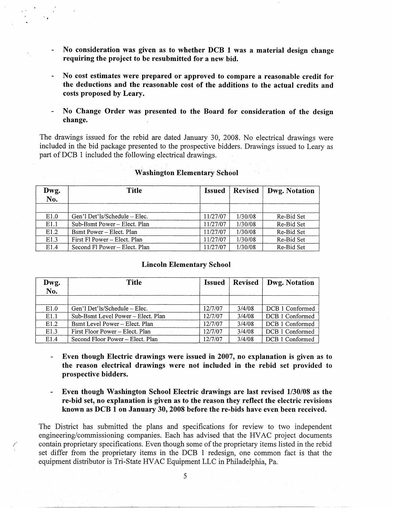- **No consideration was given as to whether DCB 1 was a material design change requiring the project to be resubmitted for a new bid.**
- **No cost estimates were prepared or approved to compare a reasonable credit for the deductions and the reasonable cost of the additions to the actual credits and costs proposed by Leary.**
- **No Change Order was presented to the Board for consideration of the design change.**

The drawings issued for the rebid are dated January 30, 2008. No electrical drawings were included in the bid package presented to the prospective bidders. Drawings issued to Leary as part of DCB 1 included the following electrical drawings.

| Dwg. | <b>Title</b>                  | <b>Issued</b> | Revised | Dwg. Notation |
|------|-------------------------------|---------------|---------|---------------|
| No.  |                               |               |         |               |
|      |                               |               |         |               |
| E1.0 | Gen'l Det'ls/Schedule – Elec. | 11/27/07      | 1/30/08 | Re-Bid Set    |
| E1.1 | Sub-Bsmt Power – Elect. Plan  | 11/27/07      | 1/30/08 | Re-Bid Set    |
| E1.2 | Bsmt Power - Elect. Plan      | 11/27/07      | 1/30/08 | Re-Bid Set    |
| E1.3 | First Fl Power – Elect. Plan  | 11/27/07      | 1/30/08 | Re-Bid Set    |
| E1.4 | Second Fl Power – Elect. Plan | 11/27/07      | 1/30/08 | Re-Bid Set    |

### **Washington Elementary School**

## **Lincoln Elementary School**

| Dwg.<br>No. | <b>Title</b>                       | <b>Issued</b> | <b>Revised</b> | Dwg. Notation   |
|-------------|------------------------------------|---------------|----------------|-----------------|
|             |                                    |               |                |                 |
| E1.0        | Gen'l Det'ls/Schedule – Elec.      | 12/7/07       | 3/4/08         | DCB 1 Conformed |
| E1.1        | Sub-Bsmt Level Power – Elect. Plan | 12/7/07       | 3/4/08         | DCB 1 Conformed |
| E1.2        | Bsmt Level Power - Elect. Plan     | 12/7/07       | 3/4/08         | DCB 1 Conformed |
| E1.3        | First Floor Power - Elect. Plan    | 12/7/07       | 3/4/08         | DCB 1 Conformed |
| E1.4        | Second Floor Power – Elect. Plan   | 12/7/07       | 3/4/08         | DCB 1 Conformed |

- **Even though Electric drawings were issued in 2007, no explanation is given as to**   $\omega_{\rm{max}}$ **the reason electrical drawings were not included in the rebid set provided to prospective bidders.**
- **Even though Washington School Electric drawings are last revised 1/30/08 as the re-bid set, no explanation is given as to the reason they reflect the electric revisions known as DCB 1 on January 30, 2008 before the re-bids have even been received.**

The District has submitted the plans and specifications for review to two independent engineering/commissioning companies. Each has advised that the HV AC project documents contain proprietary specifications. Even though some of the proprietary items listed in the rebid set differ from the proprietary items in the DCB 1 redesign, one common fact is that the equipment distributor is Tri-State HV AC Equipment LLC in Philadelphia, Pa.

/  $\mathcal{L}_{\mathcal{L}}$ 

".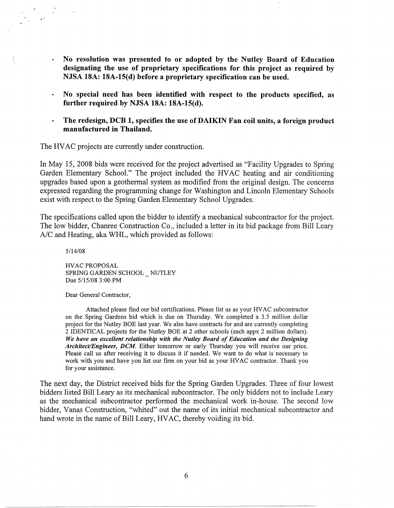- **No resolution was presented to or adopted by the Nutley Board of Education designating the use of proprietary specifications for this project as required by NJSA 18A: 18A-1S(d) before a proprietary specification can be used.**
- **No special need has been identified with respect to the products specified, as further required by NJSA 18A: 18A-1S(d).**
- **The redesign, DCB 1, specifies the use of DAIKIN Fan coil units, a foreign product manufactured in Thailand.**

The HVAC projects are currently under construction.

In May 15, 2008 bids were received for the project advertised as "Facility Upgrades to Spring Garden Elementary School." The project included the HV AC heating and air conditioning upgrades based upon a geothermal system as modified from the original design. The concerns expressed regarding the programming change for Washington and Lincoln Elementary Schools exist with respect to the Spring Garden Elementary School Upgrades.

The specifications called upon the bidder to identify a mechanical subcontractor for the project. The low bidder, Chanree Construction Co., included a letter in its bid package from Bill Leary A/C and Heating, aka WHL, which provided as follows:

5/14/08

HV AC PROPOSAL SPRING GARDEN SCHOOL NUTLEY Due 5/15/08 3:00 PM

Dear General Contractor,

Attached please find our bid certifications. Please list us as your HVAC subcontractor on the Spring Gardens bid which is due on Thursday. We completed a 3.5 million dollar project for the Nutley BOE last year. We also have contracts for and are currently completing 2 IDENTICAL projects for the Nutley BOE at 2 other schools (each appx 2 million dollars). *We have an excellent relationship with the Nutley Board of Education and the Designing Architect/Engineer, DCM.* Either tomorrow or early Thursday you will receive our price. Please call us after receiving it to discuss it if needed. We want to do what is necessary to work with you and have you list our firm on your bid as your HVAC contractor. Thank you for your assistance.

The next day, the District received bids for the Spring Garden Upgrades. Three of four lowest bidders listed Bill Leary as its mechanical subcontractor. The only bidders not to include Leary as the mechanical subcontractor performed the mechanical work in-house. The second low bidder, Vanas Construction, "whited" out the name of its initial mechanical subcontractor and hand wrote in the name of Bill Leary, HVAC, thereby voiding its bid.